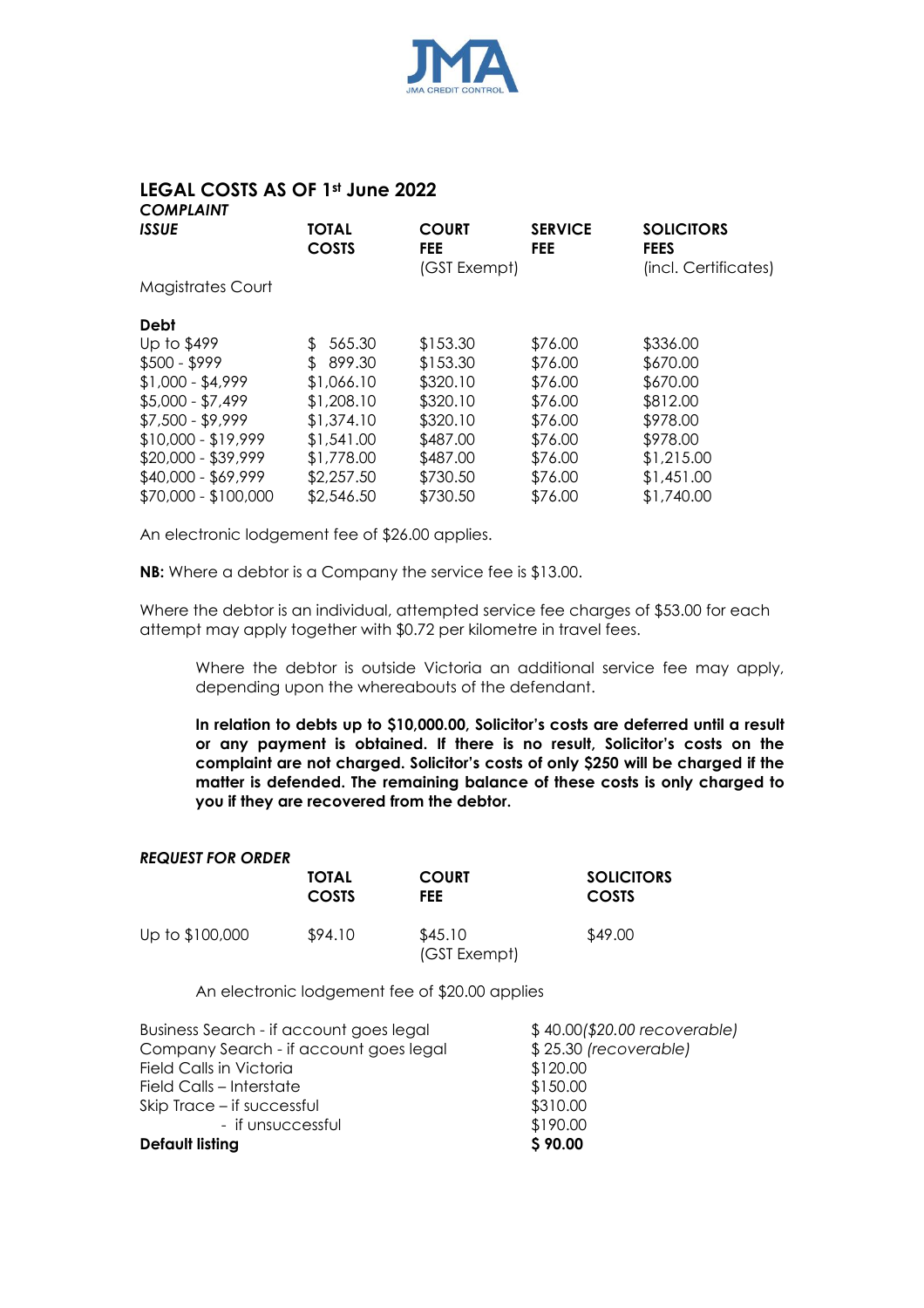

## **LEGAL COSTS AS OF 1st June 2022** *COMPLAINT*

| <b>TOTAL</b><br><b>COSTS</b> | <b>COURT</b><br><b>FEE</b> | <b>SERVICE</b><br><b>FEE</b> | <b>SOLICITORS</b><br><b>FEES</b><br>(incl. Certificates) |
|------------------------------|----------------------------|------------------------------|----------------------------------------------------------|
|                              |                            |                              |                                                          |
|                              |                            |                              |                                                          |
| 565.30<br>\$.                | \$153.30                   | \$76.00                      | \$336.00                                                 |
| $\mathbb{S}$<br>899.30       | \$153.30                   | \$76.00                      | \$670.00                                                 |
| \$1,066.10                   | \$320.10                   | \$76.00                      | \$670.00                                                 |
| \$1,208.10                   | \$320.10                   | \$76.00                      | \$812.00                                                 |
| \$1,374.10                   | \$320.10                   | \$76.00                      | \$978.00                                                 |
| \$1,541.00                   | \$487.00                   | \$76.00                      | \$978.00                                                 |
| \$1,778.00                   | \$487.00                   | \$76.00                      | \$1,215.00                                               |
| \$2,257.50                   | \$730.50                   | \$76.00                      | \$1,451.00                                               |
| \$2,546.50                   | \$730.50                   | \$76.00                      | \$1,740.00                                               |
|                              |                            | (GST Exempt)                 |                                                          |

An electronic lodgement fee of \$26.00 applies.

**NB:** Where a debtor is a Company the service fee is \$13.00.

Where the debtor is an individual, attempted service fee charges of \$53.00 for each attempt may apply together with \$0.72 per kilometre in travel fees.

Where the debtor is outside Victoria an additional service fee may apply, depending upon the whereabouts of the defendant.

**In relation to debts up to \$10,000.00, Solicitor's costs are deferred until a result or any payment is obtained. If there is no result, Solicitor's costs on the complaint are not charged. Solicitor's costs of only \$250 will be charged if the matter is defended. The remaining balance of these costs is only charged to you if they are recovered from the debtor.**

## *REQUEST FOR ORDER*

|                 | <b>TOTAL</b> | <b>COURT</b>            | <b>SOLICITORS</b> |
|-----------------|--------------|-------------------------|-------------------|
|                 | COSTS        | FEE                     | <b>COSTS</b>      |
| Up to \$100,000 | \$94.10      | \$45.10<br>(GST Exempt) | \$49.00           |

An electronic lodgement fee of \$20.00 applies

| Business Search - if account goes legal | \$40.00(\$20.00 recoverable) |
|-----------------------------------------|------------------------------|
| Company Search - if account goes legal  | \$25.30 (recoverable)        |
| <b>Field Calls in Victoria</b>          | \$120.00                     |
| Field Calls – Interstate                | \$150.00                     |
| Skip Trace – if successful              | \$310.00                     |
| - if unsuccessful                       | \$190.00                     |
| <b>Default listing</b>                  | \$90.00                      |